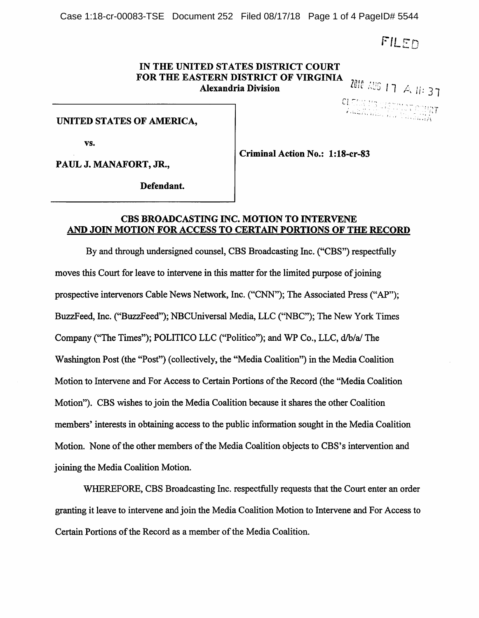Case 1:18-cr-00083-TSE Document 252 Filed 08/17/18 Page 1 of 4 PageID# 5544

FILED

# IN THE UNITED STATES DISTRICT COURT FOR THE EASTERN DISTRICT OF VIRGINIA<br>Alexandria Division Alexandria Division  $\frac{2010 \text{ NUS}}{4 \text{ NUS}}$  | 7 |  $\text{A}$ , ||: 37

2018 | June

CLEDK MONIGHT OCURT

### UNITED STATES OF AMERICA,

vs.

PAUL J. MANAFORT, JR.,

Criminal Action No.: l:18-cr-83

Defendant.

#### CBS BROADCASTING INC. MOTION TO INTERVENE AND JOIN MOTION FOR ACCESS TO CERTAIN PORTIONS OF THE RECORD

By and through undersigned counsel, CBS Broadcasting Inc. ("CBS") respectfully moves this Court for leave to intervene in this matter for the limited purpose of joining prospective intervenors Cable News Network, Inc. ("CNN"); The Associated Press ("AP"); BuzzFeed, Inc. ("BuzzFeed"); NBCUniversal Media, LLC ("NBC"); The New York Times Company ("The Times"); POLITICO LLC ("Politico"); and WP Co., LLC, d/b/a/ The Washington Post (the "Post") (collectively, the "Media Coalition") in the Media Coalition Motion to Intervene and For Access to Certain Portions of the Record (the "Media Coalition Motion"). CBS wishes to join the Media Coalition because it shares the other Coalition members' interests in obtaining access to the public information sought in the Media Coalition Motion. None of the other members of the Media Coalition objects to CBS's intervention and joining the Media Coalition Motion.

WHEREFORE, CBS Broadcasting Inc. respectfully requests that the Court enter an order granting it leave to intervene and join the Media Coalition Motion to Intervene and For Access to Certain Portions of the Record as a member of the Media Coalition.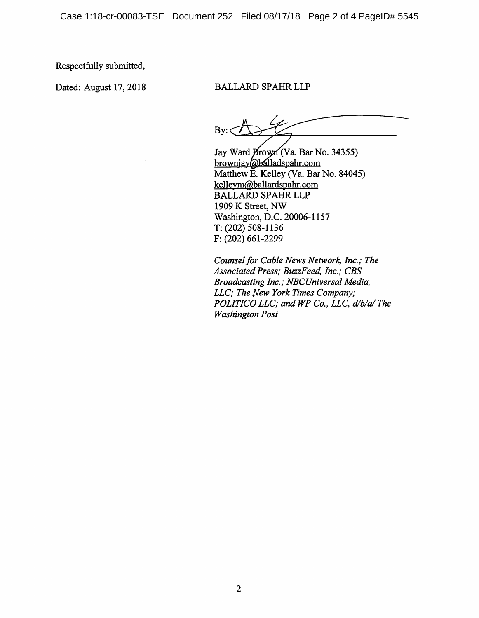Respectfully submitted.

## Dated: August 17, 2018 BALLARD SPAHR LLP

 $By: < \mathcal{A}$ 

Jay Ward Brown (Va. Bar No. 34355) browniav@balladspahr.com Matthew E. Kelley (Va. Bar No. 84045) kellevm@ballardspahr.com BALLARD SPAHR LLP 1909 K Street, NW Washington, D.C. 20006-1157 T:(202) 508-1136 F: (202) 661-2299

Counsel for Cable News Network, Inc.; The Associated Press; BuzzFeed, Inc.; CBS Broadcasting Inc.; NBCUniversal Media, LLC; The New York Times Company; POLITICO LLC; and WP Co., LLC, d/b/a/The Washington Post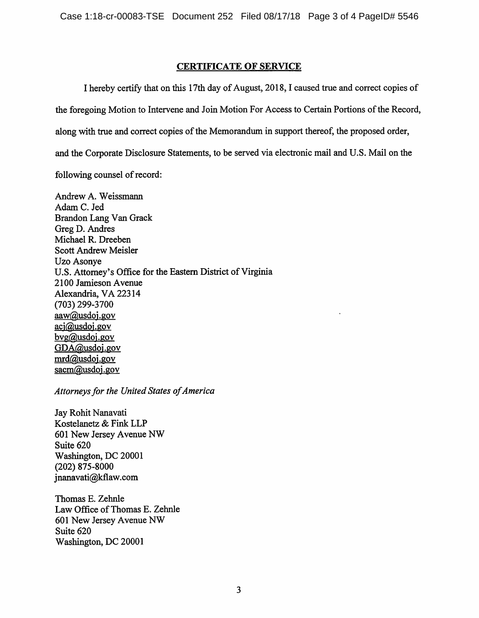## CERTIFICATE OF SERVICE

I hereby certify that on this 17th day of August, 2018,1 caused true and correct copies of the foregoing Motion to Intervene and Join Motion For Access to Certain Portions of the Record, along with true and correct copies of the Memorandum in support thereof, the proposed order, and the Corporate Disclosure Statements, to be served via electronic mail and U.S. Mail on the following counsel of record:

Andrew A. Weissmann Adam C. Jed Brandon Lang Van Grack Greg D. Andres Michael R. Dreeben Scott Andrew Meisler Uzo Asonye U.S. Attomey's Office for the Eastern District of Virginia 2100 Jamieson Avenue Alexandria, VA 22314 (703) 299-3700 aaw@usdoi.gov  $\overline{\text{aci@usdoi.gov}}$ bvg@usdoi.gov GDA@usdoj.gov mrd@usdoj.gov sacm@usdoj.gov

### Attorneys for the United States of America

Jay Rohit Nanavati Kostelanetz & Fink LLP 601 New Jersey Avenue NW Suite 620 Washington, DC 20001 (202) 875-8000 jnanavati@kflaw.com

Thomas E. Zehnle Law Office of Thomas E. Zehnle 601 New Jersey Avenue NW Suite 620 Washington, DC 20001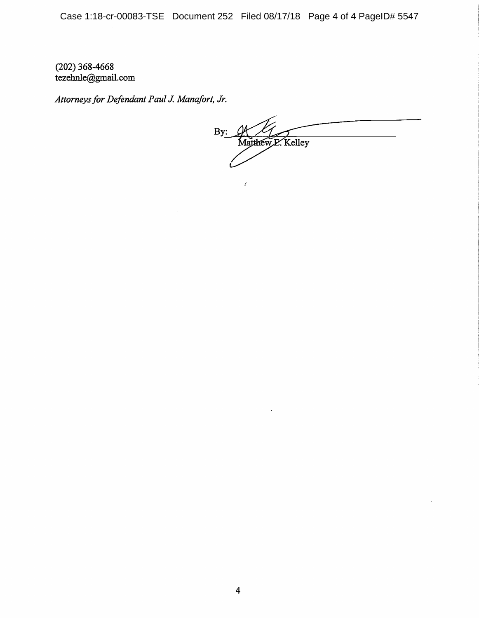Case 1:18-cr-00083-TSE Document 252 Filed 08/17/18 Page 4 of 4 PageID# 5547

Í

(202) 368.4668 tezehnle@gmail.com

Attorneys for Defendant Paul J. Manafort, Jr.

By: Matthew E. Kelley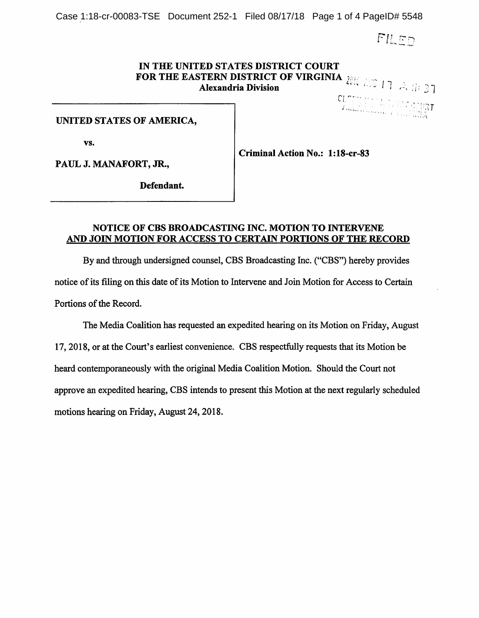Case 1:18-cr-00083-TSE Document 252-1 Filed 08/17/18 Page 1 of 4 PageID# 5548

 $FlL$  $F$  $n$ 

## IN THE UNITED STATES DISTRICT COURT FOR THE EASTERN DISTRICT OF VIRGINIA  $\frac{1}{l}$ Alexandria Division  $\mathbb{R}^3$  and  $\mathbb{R}^3$  and  $\mathbb{R}^3$

 $c_1$  —  $\sim$ ■ ;'aT

#### UNITED STATES OF AMERICA,

vs.

PAUL J. MANAFORT, JR.,

Criminal Action No.: I:18-cr-83

Defendant.

### NOTICE OF CBS BROADCASTING INC. MOTION TO INTERVENE AND JOIN MOTION FOR ACCESS TO CERTAIN PORTIONS OF THE RECORD

By and through undersigned counsel, CBS Broadcasting Inc. ("CBS") hereby provides notice of its filing on this date of its Motion to Intervene and Join Motion for Access to Certain Portions of the Record.

The Media Coalition has requested an expedited hearing on its Motion on Friday, August 17,2018, or at the Court's earliest convenience. CBS respectfully requests that its Motion be heard contemporaneously with the original Media Coalition Motion. Should the Court not approve an expedited hearing, CBS intends to present this Motion at the next regularly scheduled motions hearing on Friday, August 24,2018.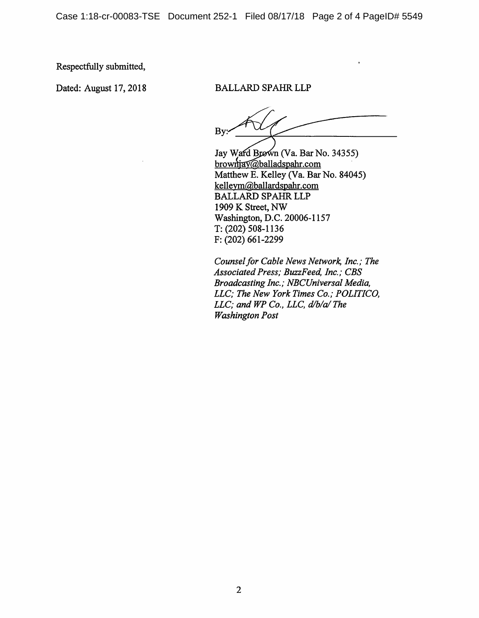Case 1:18-cr-00083-TSE Document 252-1 Filed 08/17/18 Page 2 of 4 PageID# 5549

Respectfully submitted.

#### Dated: August 17, 2018 BALLARD SPAHR LLP

By:

Jay Ward Brown (Va. Bar No. 34355) brownjay@balladspahr.com Matthew E. Kelley (Va. Bar No. 84045) kellevm@ballardspahr.com BALLARD SPAHR LLP 1909 K Street, NW Washington, D.C. 20006-1157 T: (202) 508-1136 F: (202) 661-2299

Counsel for Cable News Network, Inc.; The Associated Press; BuzzFeed, Inc.; CBS Broadcasting Inc.; NBCUniversal Media, LLC; The New York Times Co.; POLITICO, LLC; and WP Co., LLC, d/b/a/ The Washington Post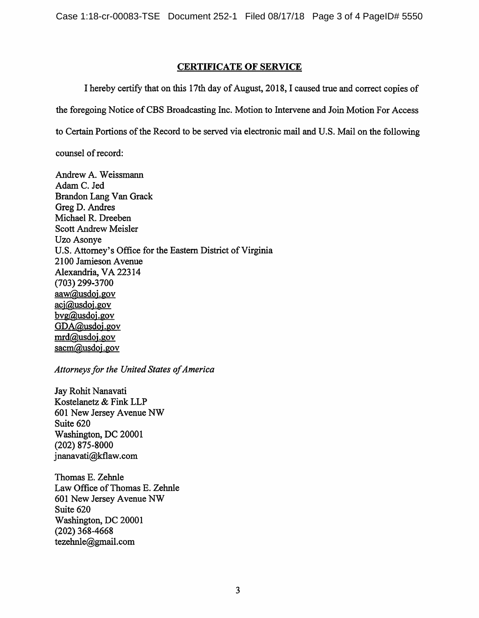## CERTIFICATE OF SERVICE

I hereby certify that on this 17th day of August, 2018,1 caused true and correct copies of the foregoing Notice of CBS Broadcasting Inc. Motion to Intervene and Join Motion For Access

to Certain Portions of the Record to be served via electronic mail and U.S. Mail on the following

counsel of record:

Andrew A. Weissmann Adam C. Jed Brandon Lang Van Grack Greg D. Andres Michael R. Dreeben Scott Andrew Meisler Uzo Asonye U.S. Attorney's Office for the Eastern District of Virginia 2100 Jamieson Avenue Alexandria, VA 22314 (703) 299-3700 aaw@usdoi.gov aci@usdoi.gov bvg@usdoi.gov GDA@usdoj.gov mrd@usdoj.gov sacm@usdoj.gov

## Attorneys for the United States of America

Jay Rohit Nanavati Kostelanetz & Fink LLP 601 New Jersey Avenue NW Suite 620 Washington, DC 20001 (202) 875-8000 jnanavati@kflaw.com

Thomas E. Zehnle Law Office of Thomas E. Zehnle 601 New Jersey Avenue NW Suite 620 Washington, DC 20001 (202) 368-4668 tezehnle@gmail.com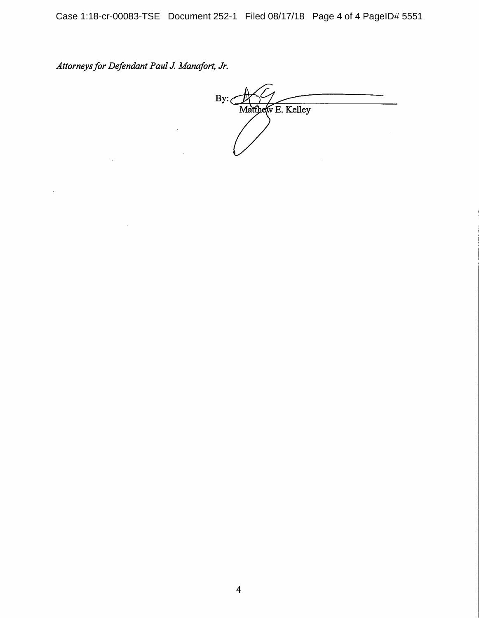Case 1:18-cr-00083-TSE Document 252-1 Filed 08/17/18 Page 4 of 4 PageID# 5551

Attorneys for Defendant Paul J. Manafort, Jr.

 $\sim$   $\omega$ 

By: $\frac{1}{2}$ Matthew E. Kelley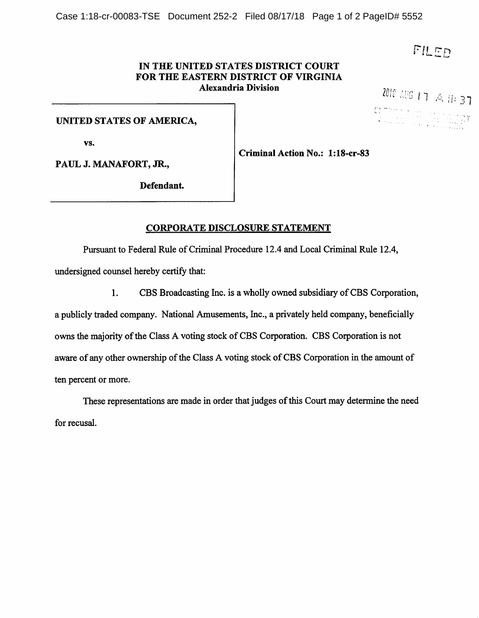#### IN THE UNITED STATES DISTRICT COURT FOR THE EASTERN DISTRICT OF VIRGINIA Alexandria Division

**2010** AUG 1 7 A 11: 37

### UNITED STATES OF AMERICA,

vs.

Criminal Action No.: l:18-cr-83

PAUL J. MANAFORT, JR.,

Defendant.

## CORPORATE DISCLOSURE STATEMENT

Pursuant to Federal Rule of Criminal Procedure 12.4 and Local Criminal Rule 12.4,

undersigned counsel hereby certify that:

1. CBS Broadcasting Inc. is a wholly owned subsidiary of CBS Corporation,

a publicly traded company. National Amusements, Inc., a privately held company, beneficially owns the majority of the Class A voting stock of CBS Corporation. CBS Corporation is not aware of any other ownership of the Class A voting stock of CBS Corporation in the amount of ten percent or more.

These representations are made in order that judges of this Court may determine the need for recusal.

FILED